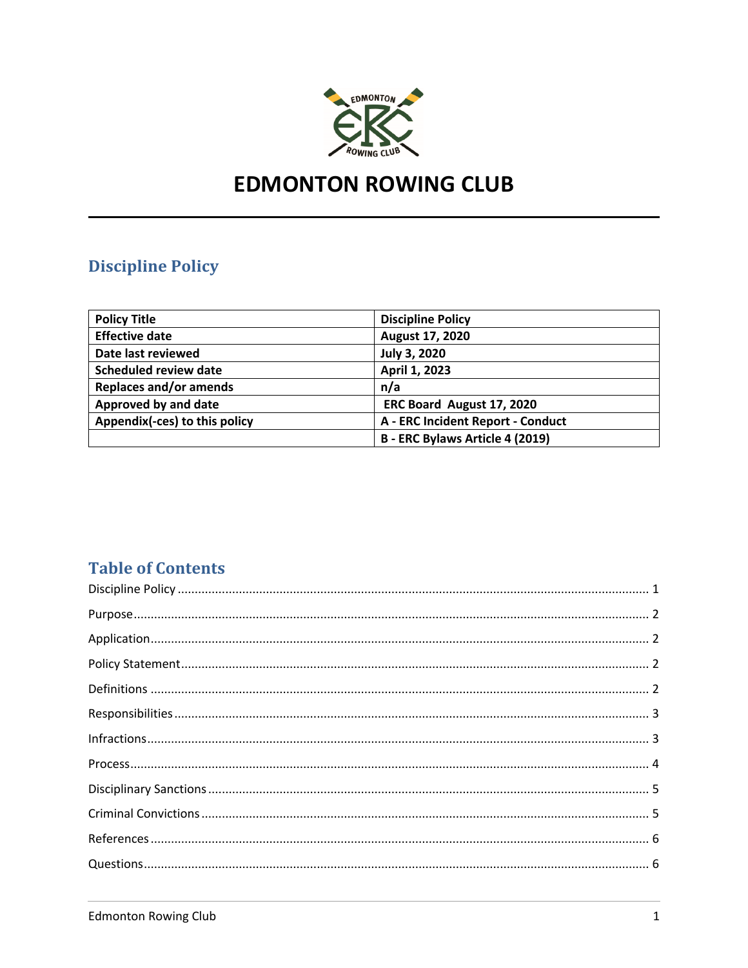

# **EDMONTON ROWING CLUB**

## **Discipline Policy**

| <b>Policy Title</b>           | <b>Discipline Policy</b>          |
|-------------------------------|-----------------------------------|
| <b>Effective date</b>         | August 17, 2020                   |
| Date last reviewed            | <b>July 3, 2020</b>               |
| <b>Scheduled review date</b>  | April 1, 2023                     |
| <b>Replaces and/or amends</b> | n/a                               |
| Approved by and date          | ERC Board August 17, 2020         |
| Appendix(-ces) to this policy | A - ERC Incident Report - Conduct |
|                               | B - ERC Bylaws Article 4 (2019)   |

## **Table of Contents**

| $In fractions  \, 3  \, 3  \,$ |  |
|--------------------------------|--|
|                                |  |
|                                |  |
|                                |  |
|                                |  |
|                                |  |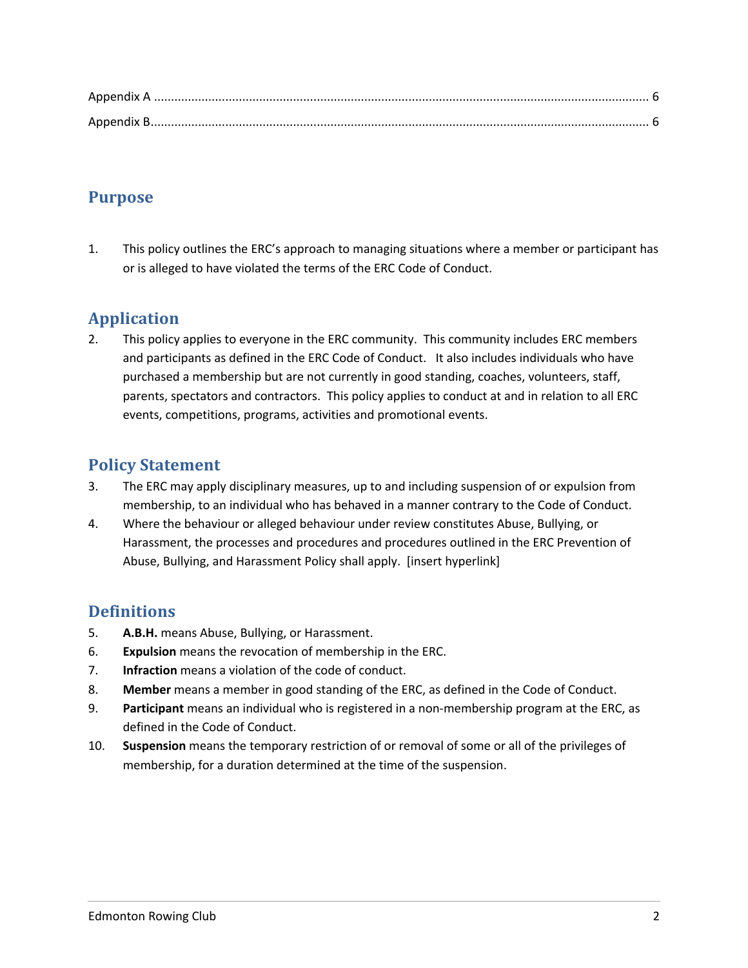## **Purpose**

1. This policy outlines the ERC's approach to managing situations where a member or participant has or is alleged to have violated the terms of the ERC Code of Conduct.

## **Application**

2. This policy applies to everyone in the ERC community. This community includes ERC members and participants as defined in the ERC Code of Conduct. It also includes individuals who have purchased a membership but are not currently in good standing, coaches, volunteers, staff, parents, spectators and contractors. This policy applies to conduct at and in relation to all ERC events, competitions, programs, activities and promotional events.

## **Policy Statement**

- 3. The ERC may apply disciplinary measures, up to and including suspension of or expulsion from membership, to an individual who has behaved in a manner contrary to the Code of Conduct.
- 4. Where the behaviour or alleged behaviour under review constitutes Abuse, Bullying, or Harassment, the processes and procedures and procedures outlined in the ERC Prevention of Abuse, Bullying, and Harassment Policy shall apply. [insert hyperlink]

## **Definitions**

- 5. **A.B.H.** means Abuse, Bullying, or Harassment.
- 6. **Expulsion** means the revocation of membership in the ERC.
- 7. **Infraction** means a violation of the code of conduct.
- 8. **Member** means a member in good standing of the ERC, as defined in the Code of Conduct.
- 9. **Participant** means an individual who is registered in a non-membership program at the ERC, as defined in the Code of Conduct.
- 10. **Suspension** means the temporary restriction of or removal of some or all of the privileges of membership, for a duration determined at the time of the suspension.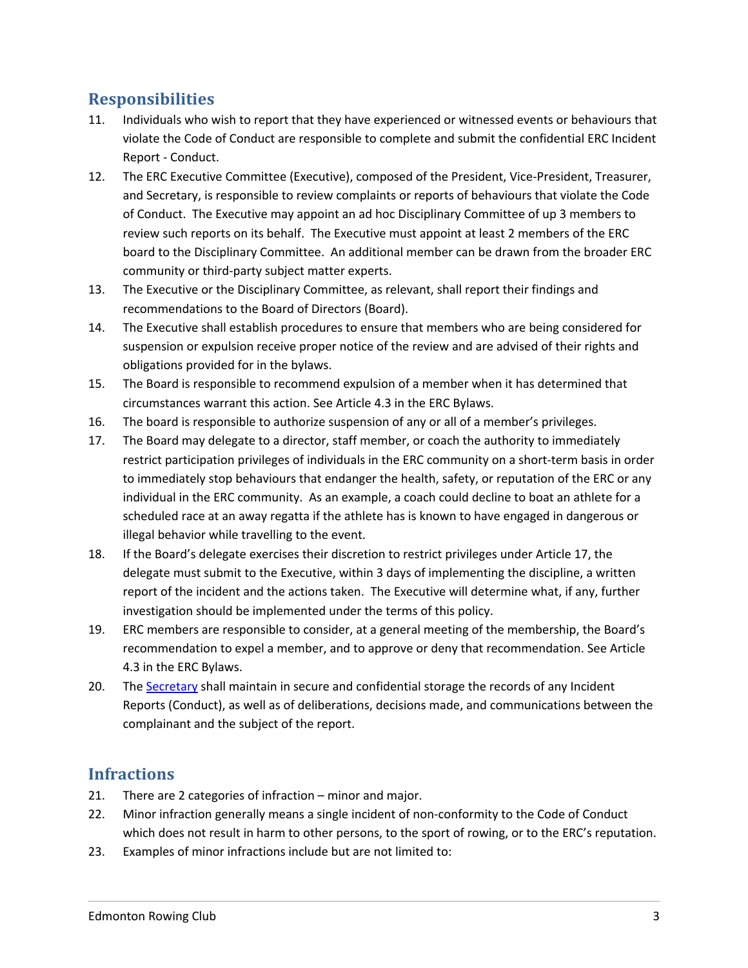#### **Responsibilities**

- 11. Individuals who wish to report that they have experienced or witnessed events or behaviours that violate the Code of Conduct are responsible to complete and submit the confidential ERC Incident Report - Conduct.
- 12. The ERC Executive Committee (Executive), composed of the President, Vice-President, Treasurer, and Secretary, is responsible to review complaints or reports of behaviours that violate the Code of Conduct. The Executive may appoint an ad hoc Disciplinary Committee of up 3 members to review such reports on its behalf. The Executive must appoint at least 2 members of the ERC board to the Disciplinary Committee. An additional member can be drawn from the broader ERC community or third-party subject matter experts.
- 13. The Executive or the Disciplinary Committee, as relevant, shall report their findings and recommendations to the Board of Directors (Board).
- 14. The Executive shall establish procedures to ensure that members who are being considered for suspension or expulsion receive proper notice of the review and are advised of their rights and obligations provided for in the bylaws.
- 15. The Board is responsible to recommend expulsion of a member when it has determined that circumstances warrant this action. See Article 4.3 in the ERC Bylaws.
- 16. The board is responsible to authorize suspension of any or all of a member's privileges.
- 17. The Board may delegate to a director, staff member, or coach the authority to immediately restrict participation privileges of individuals in the ERC community on a short-term basis in order to immediately stop behaviours that endanger the health, safety, or reputation of the ERC or any individual in the ERC community. As an example, a coach could decline to boat an athlete for a scheduled race at an away regatta if the athlete has is known to have engaged in dangerous or illegal behavior while travelling to the event.
- 18. If the Board's delegate exercises their discretion to restrict privileges under Article 17, the delegate must submit to the Executive, within 3 days of implementing the discipline, a written report of the incident and the actions taken. The Executive will determine what, if any, further investigation should be implemented under the terms of this policy.
- 19. ERC members are responsible to consider, at a general meeting of the membership, the Board's recommendation to expel a member, and to approve or deny that recommendation. See Article 4.3 in the ERC Bylaws.
- 20. The Secretary shall maintain in secure and confidential storage the records of any Incident Reports (Conduct), as well as of deliberations, decisions made, and communications between the complainant and the subject of the report.

#### **Infractions**

- 21. There are 2 categories of infraction minor and major.
- 22. Minor infraction generally means a single incident of non-conformity to the Code of Conduct which does not result in harm to other persons, to the sport of rowing, or to the ERC's reputation.
- 23. Examples of minor infractions include but are not limited to: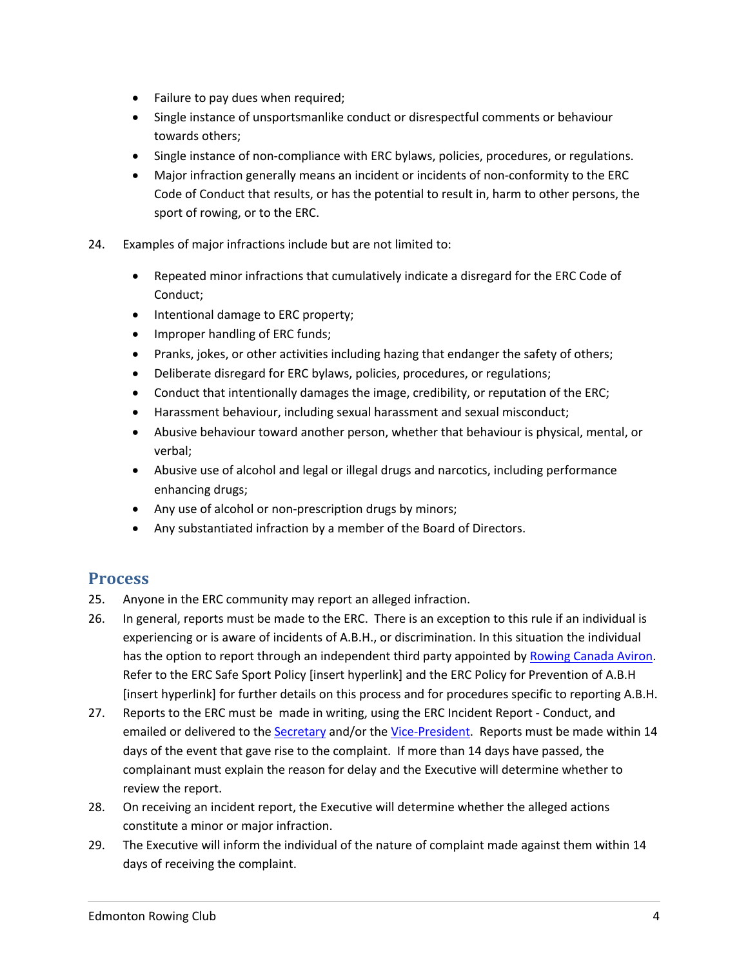- Failure to pay dues when required;
- Single instance of unsportsmanlike conduct or disrespectful comments or behaviour towards others;
- Single instance of non-compliance with ERC bylaws, policies, procedures, or regulations.
- Major infraction generally means an incident or incidents of non-conformity to the ERC Code of Conduct that results, or has the potential to result in, harm to other persons, the sport of rowing, or to the ERC.
- 24. Examples of major infractions include but are not limited to:
	- Repeated minor infractions that cumulatively indicate a disregard for the ERC Code of Conduct;
	- Intentional damage to ERC property;
	- Improper handling of ERC funds;
	- Pranks, jokes, or other activities including hazing that endanger the safety of others;
	- Deliberate disregard for ERC bylaws, policies, procedures, or regulations;
	- Conduct that intentionally damages the image, credibility, or reputation of the ERC;
	- Harassment behaviour, including sexual harassment and sexual misconduct;
	- Abusive behaviour toward another person, whether that behaviour is physical, mental, or verbal;
	- Abusive use of alcohol and legal or illegal drugs and narcotics, including performance enhancing drugs;
	- Any use of alcohol or non-prescription drugs by minors;
	- Any substantiated infraction by a member of the Board of Directors.

#### **Process**

- 25. Anyone in the ERC community may report an alleged infraction.
- 26. In general, reports must be made to the ERC. There is an exception to this rule if an individual is experiencing or is aware of incidents of A.B.H., or discrimination. In this situation the individual has the option to report through an independent third party appointed by Rowing Canada Aviron. Refer to the ERC Safe Sport Policy [insert hyperlink] and the ERC Policy for Prevention of A.B.H [insert hyperlink] for further details on this process and for procedures specific to reporting A.B.H.
- 27. Reports to the ERC must be made in writing, using the ERC Incident Report Conduct, and emailed or delivered to the Secretary and/or the Vice-President. Reports must be made within 14 days of the event that gave rise to the complaint. If more than 14 days have passed, the complainant must explain the reason for delay and the Executive will determine whether to review the report.
- 28. On receiving an incident report, the Executive will determine whether the alleged actions constitute a minor or major infraction.
- 29. The Executive will inform the individual of the nature of complaint made against them within 14 days of receiving the complaint.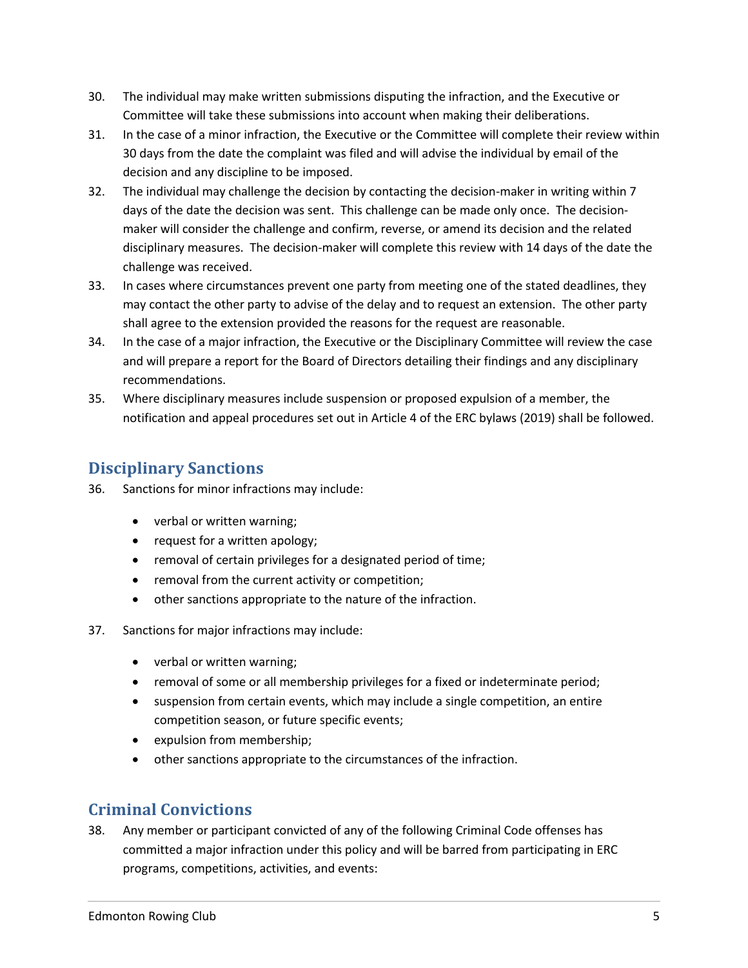- 30. The individual may make written submissions disputing the infraction, and the Executive or Committee will take these submissions into account when making their deliberations.
- 31. In the case of a minor infraction, the Executive or the Committee will complete their review within 30 days from the date the complaint was filed and will advise the individual by email of the decision and any discipline to be imposed.
- 32. The individual may challenge the decision by contacting the decision-maker in writing within 7 days of the date the decision was sent. This challenge can be made only once. The decisionmaker will consider the challenge and confirm, reverse, or amend its decision and the related disciplinary measures. The decision-maker will complete this review with 14 days of the date the challenge was received.
- 33. In cases where circumstances prevent one party from meeting one of the stated deadlines, they may contact the other party to advise of the delay and to request an extension. The other party shall agree to the extension provided the reasons for the request are reasonable.
- 34. In the case of a major infraction, the Executive or the Disciplinary Committee will review the case and will prepare a report for the Board of Directors detailing their findings and any disciplinary recommendations.
- 35. Where disciplinary measures include suspension or proposed expulsion of a member, the notification and appeal procedures set out in Article 4 of the ERC bylaws (2019) shall be followed.

## **Disciplinary Sanctions**

- 36. Sanctions for minor infractions may include:
	- verbal or written warning;
	- request for a written apology;
	- removal of certain privileges for a designated period of time;
	- removal from the current activity or competition;
	- other sanctions appropriate to the nature of the infraction.
- 37. Sanctions for major infractions may include:
	- verbal or written warning;
	- removal of some or all membership privileges for a fixed or indeterminate period;
	- suspension from certain events, which may include a single competition, an entire competition season, or future specific events;
	- expulsion from membership;
	- other sanctions appropriate to the circumstances of the infraction.

## **Criminal Convictions**

38. Any member or participant convicted of any of the following Criminal Code offenses has committed a major infraction under this policy and will be barred from participating in ERC programs, competitions, activities, and events: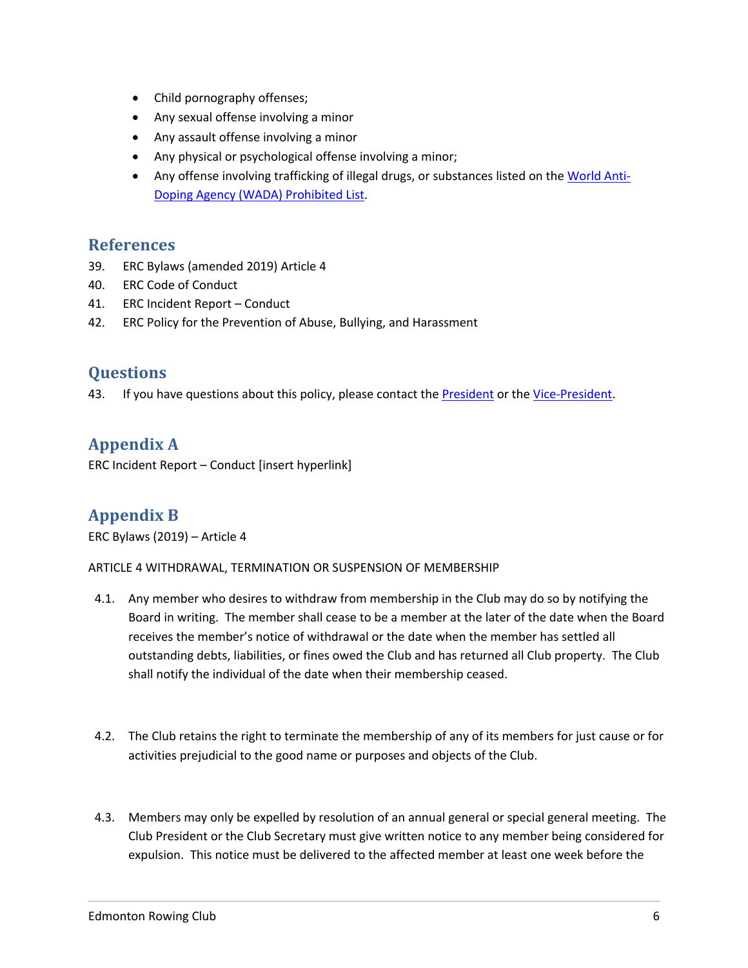- Child pornography offenses;
- Any sexual offense involving a minor
- Any assault offense involving a minor
- Any physical or psychological offense involving a minor;
- Any offense involving trafficking of illegal drugs, or substances listed on the World Anti-Doping Agency (WADA) Prohibited List.

#### **References**

- 39. ERC Bylaws (amended 2019) Article 4
- 40. ERC Code of Conduct
- 41. ERC Incident Report Conduct
- 42. ERC Policy for the Prevention of Abuse, Bullying, and Harassment

#### **Questions**

43. If you have questions about this policy, please contact the **President** or the Vice-President.

## **Appendix A**

ERC Incident Report – Conduct [insert hyperlink]

## **Appendix B**

ERC Bylaws (2019) – Article 4

ARTICLE 4 WITHDRAWAL, TERMINATION OR SUSPENSION OF MEMBERSHIP

- 4.1. Any member who desires to withdraw from membership in the Club may do so by notifying the Board in writing. The member shall cease to be a member at the later of the date when the Board receives the member's notice of withdrawal or the date when the member has settled all outstanding debts, liabilities, or fines owed the Club and has returned all Club property. The Club shall notify the individual of the date when their membership ceased.
- 4.2. The Club retains the right to terminate the membership of any of its members for just cause or for activities prejudicial to the good name or purposes and objects of the Club.
- 4.3. Members may only be expelled by resolution of an annual general or special general meeting. The Club President or the Club Secretary must give written notice to any member being considered for expulsion. This notice must be delivered to the affected member at least one week before the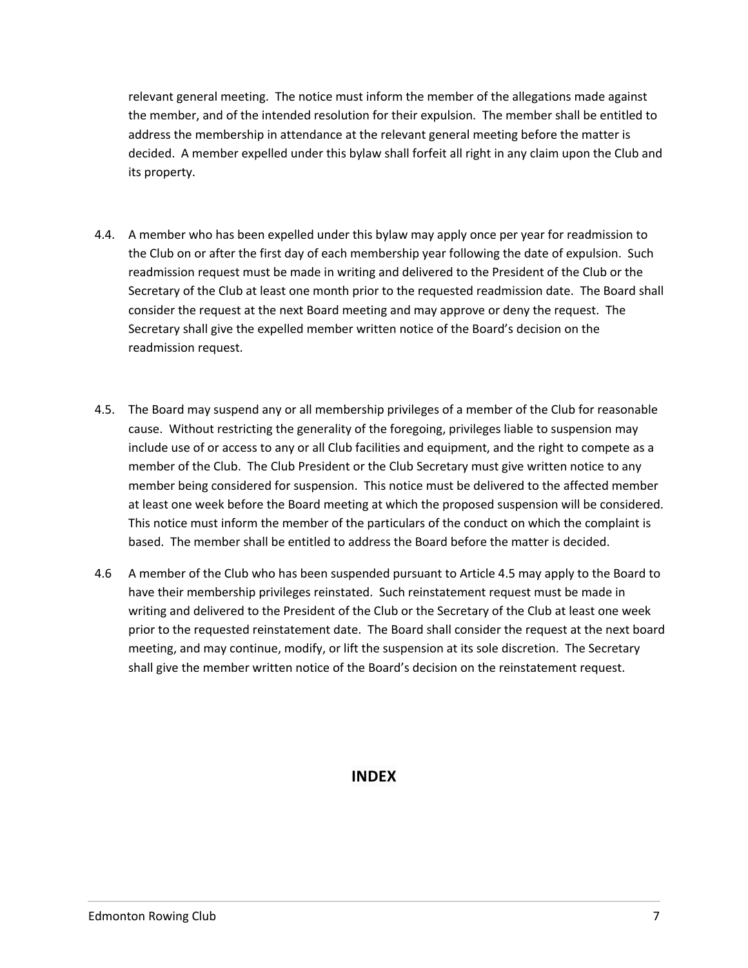relevant general meeting. The notice must inform the member of the allegations made against the member, and of the intended resolution for their expulsion. The member shall be entitled to address the membership in attendance at the relevant general meeting before the matter is decided. A member expelled under this bylaw shall forfeit all right in any claim upon the Club and its property.

- 4.4. A member who has been expelled under this bylaw may apply once per year for readmission to the Club on or after the first day of each membership year following the date of expulsion. Such readmission request must be made in writing and delivered to the President of the Club or the Secretary of the Club at least one month prior to the requested readmission date. The Board shall consider the request at the next Board meeting and may approve or deny the request. The Secretary shall give the expelled member written notice of the Board's decision on the readmission request.
- 4.5. The Board may suspend any or all membership privileges of a member of the Club for reasonable cause. Without restricting the generality of the foregoing, privileges liable to suspension may include use of or access to any or all Club facilities and equipment, and the right to compete as a member of the Club. The Club President or the Club Secretary must give written notice to any member being considered for suspension. This notice must be delivered to the affected member at least one week before the Board meeting at which the proposed suspension will be considered. This notice must inform the member of the particulars of the conduct on which the complaint is based. The member shall be entitled to address the Board before the matter is decided.
- 4.6 A member of the Club who has been suspended pursuant to Article 4.5 may apply to the Board to have their membership privileges reinstated. Such reinstatement request must be made in writing and delivered to the President of the Club or the Secretary of the Club at least one week prior to the requested reinstatement date. The Board shall consider the request at the next board meeting, and may continue, modify, or lift the suspension at its sole discretion. The Secretary shall give the member written notice of the Board's decision on the reinstatement request.

#### **INDEX**